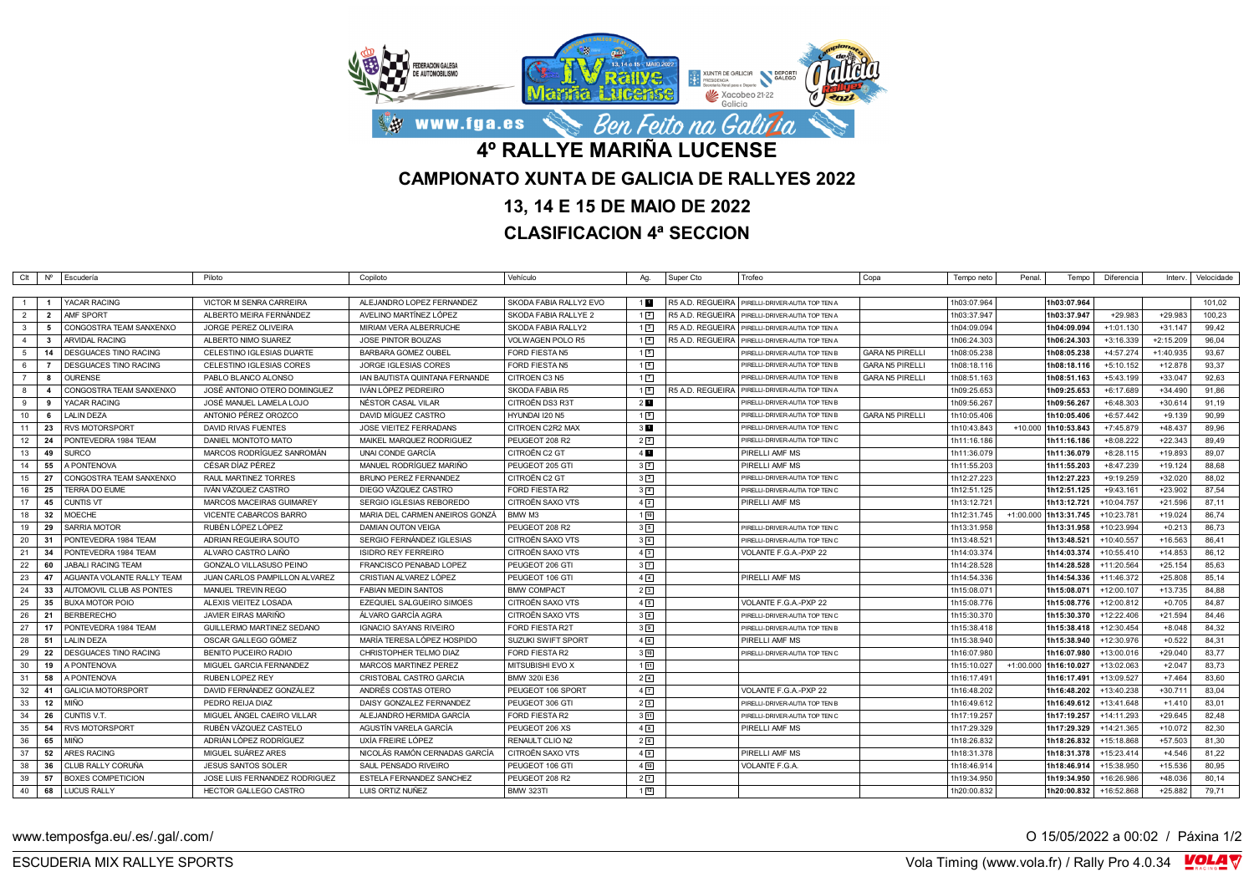

## **13, 14 E 15 DE MAIO DE 2022**

## **CLASIFICACION 4ª SECCION**

|                |                | Clt   Nº   Escudería         | Piloto                        | Copiloto                       | Vehículo               | Ag.              | Super Cto        | Trofeo                                            | Copa                   | Tempo neto  | Penal.      | Tempo                 | Diferencia   | Interv.     | Velocidade |
|----------------|----------------|------------------------------|-------------------------------|--------------------------------|------------------------|------------------|------------------|---------------------------------------------------|------------------------|-------------|-------------|-----------------------|--------------|-------------|------------|
|                |                |                              |                               |                                |                        |                  |                  |                                                   |                        |             |             |                       |              |             |            |
| $\overline{1}$ | $\blacksquare$ | YACAR RACING                 | VICTOR M SENRA CARREIRA       | ALEJANDRO LOPEZ FERNANDEZ      | SKODA FABIA RALLY2 EVO | 1 <sub>1</sub>   |                  | R5 A.D. REGUEIRA   PIRELLI-DRIVER-AUTIA TOP TEN A |                        | 1h03:07.964 |             | 1h03:07.964           |              |             | 101,02     |
| 2              | $\overline{2}$ | AMF SPORT                    | ALBERTO MEIRA FERNÁNDEZ       | AVELINO MARTÍNEZ LÓPEZ         | SKODA FABIA RALLYE 2   | $1\sqrt{2}$      |                  | R5 A.D. REGUEIRA   PIRELLI-DRIVER-AUTIA TOP TEN A |                        | 1h03:37.947 |             | 1h03:37.947           | $+29.983$    | $+29.983$   | 100.23     |
| $\mathbf{3}$   | 5              | CONGOSTRA TEAM SANXENXO      | JORGE PEREZ OLIVEIRA          | MIRIAM VERA ALBERRUCHE         | SKODA FABIA RALLY2     | $1\sqrt{3}$      | R5 A.D. REGUEIRA | PIRELLI-DRIVER-AUTIA TOP TEN A                    |                        | 1h04:09.094 |             | 1h04:09.094           | $+1:01.130$  | $+31.147$   | 99,42      |
| $\overline{4}$ | $\mathbf{3}$   | <b>ARVIDAL RACING</b>        | ALBERTO NIMO SUAREZ           | <b>JOSE PINTOR BOUZAS</b>      | VOLWAGEN POLO R5       | $1\vert 4$       | R5 A.D. REGUEIRA | PIRELLI-DRIVER-AUTIA TOP TEN A                    |                        | 1h06:24.303 |             | 1h06:24.303           | $+3:16.339$  | $+2:15.209$ | 96,04      |
| 5              | 14             | <b>DESGUACES TINO RACING</b> | CELESTINO IGLESIAS DUARTE     | <b>BARBARA GOMEZ OUBEL</b>     | FORD FIESTA N5         | 15               |                  | PIRELLI-DRIVER-AUTIA TOP TEN I                    | <b>GARA N5 PIRELLI</b> | 1h08:05.238 |             | 1h08:05.238           | +4:57.274    | +1:40.935   | 93,67      |
| 6              | $\overline{7}$ | <b>DESGUACES TINO RACING</b> | CELESTINO IGLESIAS CORES      | <b>JORGE IGLESIAS CORES</b>    | FORD FIESTA N5         | $1\sqrt{6}$      |                  | PIRELLI-DRIVER-AUTIA TOP TEN B                    | <b>GARA N5 PIRELLI</b> | 1h08:18.116 |             | 1h08:18.116           | $+5:10.152$  | $+12.878$   | 93,37      |
| $\overline{7}$ | $\mathbf{a}$   | <b>OURENSE</b>               | PABLO BLANCO ALONSO           | IAN BAUTISTA QUINTANA FERNANDE | CITROEN C3 N5          | 1 <sub>7</sub>   |                  | PIRELLI-DRIVER-AUTIA TOP TEN I                    | <b>GARA N5 PIRELLI</b> | 1h08:51.163 |             | 1h08:51.163           | $+5:43.199$  | $+33.047$   | 92,63      |
| 8              | $\mathbf{A}$   | CONGOSTRA TEAM SANXENXO      | JOSÉ ANTONIO OTERO DOMINGUEZ  | IVÁN LÓPEZ PEDREIRO            | SKODA FABIA R5         | $1$ $\boxed{8}$  |                  | R5 A.D. REGUEIRA   PIRELLI-DRIVER-AUTIA TOP TEN A |                        | 1h09:25.653 |             | 1h09:25.653           | +6:17.689    | $+34.490$   | 91,86      |
| 9              | 9              | YACAR RACING                 | JOSÉ MANUEL LAMELA LOJO       | NÉSTOR CASAL VILAR             | CITROËN DS3 R3T        | 2 <sub>1</sub>   |                  | PIRELLI-DRIVER-AUTIA TOP TEN B                    |                        | 1h09:56.267 |             | 1h09:56.267           | +6:48.303    | $+30.614$   | 91,19      |
| 10             | 6              | <b>LALIN DEZA</b>            | ANTONIO PÉREZ OROZCO          | DAVID MÍGUEZ CASTRO            | HYUNDAI I20 N5         | 19               |                  | PIRELLI-DRIVER-AUTIA TOP TEN E                    | GARA N5 PIRELLI        | 1h10:05.406 |             | 1h10:05.406           | $+6:57.442$  | $+9.139$    | 90,99      |
| 11             | 23             | <b>RVS MOTORSPORT</b>        | <b>DAVID RIVAS FUENTES</b>    | <b>JOSE VIEITEZ FERRADANS</b>  | CITROEN C2R2 MAX       | 3 <sub>1</sub>   |                  | PIRELLI-DRIVER-AUTIA TOP TEN C                    |                        | 1h10:43.843 | $+10.000$   | 1h10:53.843           | +7:45.879    | +48.437     | 89,96      |
| 12             | 24             | PONTEVEDRA 1984 TEAM         | DANIEL MONTOTO MATO           | MAIKEL MARQUEZ RODRIGUEZ       | PEUGEOT 208 R2         | $2\sqrt{2}$      |                  | PIRELLI-DRIVER-AUTIA TOP TEN C                    |                        | 1h11:16.186 |             | 1h11:16.186           | +8:08.222    | $+22.343$   | 89,49      |
| 13             | 49             | <b>SURCO</b>                 | MARCOS RODRÍGUEZ SANROMÁN     | UNAI CONDE GARCIA              | CITROËN C2 GT          | $4$ M            |                  | PIRELLI AMF MS                                    |                        | 1h11:36.079 |             | 1h11:36.079           | $+8:28.115$  | +19.893     | 89,07      |
| 14             | 55             | A PONTENOVA                  | CÉSAR DÍAZ PÉREZ              | MANUEL RODRÍGUEZ MARIÑO        | PEUGEOT 205 GTI        | $3\sqrt{2}$      |                  | PIRELLI AMF MS                                    |                        | 1h11:55.203 |             | 1h11:55.203           | +8:47.239    | $+19.124$   | 88,68      |
| 15             | 27             | CONGOSTRA TEAM SANXENXO      | RAUL MARTINEZ TORRES          | <b>BRUNO PEREZ FERNANDEZ</b>   | CITROËN C2 GT          | 3 <sup>3</sup>   |                  | PIRELLI-DRIVER-AUTIA TOP TEN C                    |                        | 1h12:27.223 |             | 1h12:27.223           | +9:19.259    | $+32.020$   | 88,02      |
| 16             | 25             | <b>TERRA DO EUME</b>         | IVÁN VÁZQUEZ CASTRO           | DIEGO VÁZQUEZ CASTRO           | FORD FIESTA R2         | $3\sqrt{4}$      |                  | PIRELLI-DRIVER-AUTIA TOP TEN C                    |                        | 1h12:51.125 |             | 1h12:51.125           | +9:43.161    | $+23.902$   | 87,54      |
| 17             | 45             | <b>CUNTIS VT</b>             | MARCOS MACEIRAS GUIMAREY      | SERGIO IGLESIAS REBOREDO       | CITROËN SAXO VTS       | $4\sqrt{2}$      |                  | PIRELLI AMF MS                                    |                        | 1h13:12.721 |             | 1h13:12.721           | +10:04.757   | $+21.596$   | 87,11      |
| 18             | 32             | <b>MOECHE</b>                | VICENTE CABARCOS BARRO        | MARIA DEL CARMEN ANEIROS GONZÁ | BMW M3                 | 110              |                  |                                                   |                        | 1h12:31.745 | $+1:00.000$ | 1h13:31.745           | +10:23.781   | $+19.024$   | 86,74      |
| 19             | 29             | <b>SARRIA MOTOR</b>          | RUBÉN LÓPEZ LÓPEZ             | <b>DAMIAN OUTON VEIGA</b>      | PEUGEOT 208 R2         | 35               |                  | PIRELLI-DRIVER-AUTIA TOP TEN C                    |                        | 1h13:31.958 |             | 1h13:31.958           | +10:23.994   | $+0.213$    | 86,73      |
| 20             | - 31           | PONTEVEDRA 1984 TEAM         | ADRIAN REGUEIRA SOUTO         | SERGIO FERNANDEZ IGLESIAS      | CITROËN SAXO VTS       | 36               |                  | PIRELLI-DRIVER-AUTIA TOP TEN C                    |                        | 1h13:48.521 |             | 1h13:48.521           | +10:40.557   | $+16.563$   | 86,41      |
| 21             | 34             | PONTEVEDRA 1984 TEAM         | ALVARO CASTRO LAIÑO           | <b>ISIDRO REY FERREIRO</b>     | CITROËN SAXO VTS       | 4 <sup>3</sup>   |                  | VOLANTE F.G.A.-PXP 22                             |                        | 1h14:03.374 |             | 1h14:03.374           | $+10:55.410$ | $+14.853$   | 86,12      |
| 22             | 60             | <b>JABALI RACING TEAM</b>    | GONZALO VILLASUSO PEINO       | FRANCISCO PENABAD LOPEZ        | PEUGEOT 206 GTI        | $3\sqrt{7}$      |                  |                                                   |                        | 1h14:28.528 |             | 1h14:28.528           | $+11:20.564$ | $+25.154$   | 85.63      |
| 23             | 47             | AGUANTA VOLANTE RALLY TEAM   | JUAN CARLOS PAMPILLON ALVAREZ | CRISTIAN ALVAREZ LÓPEZ         | PEUGEOT 106 GTI        | $4\sqrt{4}$      |                  | PIRELLI AMF MS                                    |                        | 1h14:54.336 |             | 1h14:54.336           | +11:46.372   | $+25.808$   | 85,14      |
| 24             | 33             | AUTOMOVIL CLUB AS PONTES     | MANUEL TREVIN REGO            | <b>FABIAN MEDIN SANTOS</b>     | <b>BMW COMPACT</b>     | 2 <sup>3</sup>   |                  |                                                   |                        | 1h15:08.071 |             | 1h15:08.071           | +12:00.107   | $+13.735$   | 84,88      |
| 25             | 35             | <b>BUXA MOTOR POIO</b>       | ALEXIS VIEITEZ LOSADA         | EZEQUIEL SALGUEIRO SIMOES      | CITROËN SAXO VTS       | 45               |                  | VOLANTE F.G.A.-PXP 22                             |                        | 1h15:08.776 |             | 1h15:08.776           | +12:00.812   | $+0.705$    | 84,87      |
| 26             | 21             | <b>BERBERECHO</b>            | JAVIER EIRAS MARIÑO           | ÁLVARO GARCÍA AGRA             | CITROËN SAXO VTS       | 3 <sup>[8]</sup> |                  | PIRELLI-DRIVER-AUTIA TOP TEN C                    |                        | 1h15:30.370 |             | 1h15:30.370           | +12:22.406   | $+21.594$   | 84,46      |
| 27             | 17             | PONTEVEDRA 1984 TEAM         | GUILLERMO MARTINEZ SEDANO     | <b>IGNACIO SAYANS RIVEIRO</b>  | <b>FORD FIESTA R2T</b> | 3 <sup>9</sup>   |                  | PIRELLI-DRIVER-AUTIA TOP TEN B                    |                        | 1h15:38.418 |             | 1h15:38.418           | +12:30.454   | $+8.048$    | 84.32      |
| 28             | 51             | <b>LALIN DEZA</b>            | OSCAR GALLEGO GÓMEZ           | MARÍA TERESA LÓPEZ HOSPIDO     | SUZUKI SWIFT SPORT     | 46               |                  | PIRELLI AMF MS                                    |                        | 1h15:38.940 |             | 1h15:38.940           | +12:30.976   | $+0.522$    | 84,31      |
| 29             | 22             | <b>DESGUACES TINO RACING</b> | <b>BENITO PUCEIRO RADIO</b>   | CHRISTOPHER TELMO DIAZ         | FORD FIESTA R2         | 3[10]            |                  | PIRELLI-DRIVER-AUTIA TOP TEN C                    |                        | 1h16:07.980 |             | 1h16:07.980           | +13:00.016   | $+29.040$   | 83,77      |
| 30             | 19             | A PONTENOVA                  | MIGUEL GARCIA FERNANDEZ       | MARCOS MARTINEZ PEREZ          | MITSUBISHI EVO X       | 111              |                  |                                                   |                        | 1h15:10.027 |             | +1:00.000 1h16:10.027 | +13:02.063   | $+2.047$    | 83,73      |
| 31             | 58             | A PONTENOVA                  | <b>RUBEN LOPEZ REY</b>        | CRISTOBAL CASTRO GARCIA        | BMW 320i E36           | $2\sqrt{4}$      |                  |                                                   |                        | 1h16:17.491 |             | 1h16:17.491           | +13:09.527   | $+7.464$    | 83,60      |
| 32             | 41             | <b>GALICIA MOTORSPORT</b>    | DAVID FERNANDEZ GONZALEZ      | ANDRÉS COSTAS OTERO            | PEUGEOT 106 SPORT      | $4\sqrt{7}$      |                  | VOLANTE F.G.A.-PXP 22                             |                        | 1h16:48.202 |             | 1h16:48.202           | +13:40.238   | $+30.711$   | 83,04      |
| 33             | 12             | <b>MIÑO</b>                  | PEDRO REIJA DIAZ              | DAISY GONZALEZ FERNANDEZ       | PEUGEOT 306 GTI        | 25               |                  | PIRELLI-DRIVER-AUTIA TOP TEN B                    |                        | 1h16:49.612 |             | 1h16:49.612           | +13:41.648   | $+1.410$    | 83,01      |
| 34             | 26             | CUNTIS V.T.                  | MIGUEL ÁNGEL CAEIRO VILLAR    | ALEJANDRO HERMIDA GARCÍA       | <b>FORD FIESTA R2</b>  | $3\sqrt{11}$     |                  | PIRELLI-DRIVER-AUTIA TOP TEN C                    |                        | 1h17:19.257 |             | 1h17:19.257           | +14:11.293   | $+29.645$   | 82.48      |
| 35             | 54             | <b>RVS MOTORSPORT</b>        | RUBÉN VÁZQUEZ CASTELO         | AGUSTÍN VARELA GARCÍA          | PEUGEOT 206 XS         | 48               |                  | PIRELLI AMF MS                                    |                        | 1h17:29.329 |             | 1h17:29.329           | +14:21.365   | $+10.072$   | 82,30      |
| 36             | 65             | <b>MIÑO</b>                  | ADRIÁN LÓPEZ RODRÍGUEZ        | UXÍA FREIRE LÓPEZ              | RENAULT CLIO N2        | 26               |                  |                                                   |                        | 1h18:26.832 |             | 1h18:26.832           | +15:18.868   | $+57.503$   | 81,30      |
| 37             | 52             | <b>ARES RACING</b>           | MIGUEL SUÁREZ ARES            | NICOLÁS RAMÓN CERNADAS GARCÍA  | CITROËN SAXO VTS       | 49               |                  | PIRELLI AMF MS                                    |                        | 1h18:31.378 |             | 1h18:31.378           | +15:23.414   | $+4.546$    | 81,22      |
| 38             | 36             | CLUB RALLY CORUÑA            | <b>JESUS SANTOS SOLER</b>     | SAUL PENSADO RIVEIRO           | PEUGEOT 106 GTI        | 410              |                  | VOLANTE F.G.A.                                    |                        | 1h18:46.914 |             | 1h18:46.914           | +15:38.950   | $+15.536$   | 80,95      |
| 39             | 57             | <b>BOXES COMPETICION</b>     | JOSE LUIS FERNANDEZ RODRIGUEZ | ESTELA FERNANDEZ SANCHEZ       | PEUGEOT 208 R2         | 2 <sub>2</sub>   |                  |                                                   |                        | 1h19:34.950 |             | 1h19:34.950           | +16:26.986   | +48.036     | 80,14      |
| 40             |                | 68   LUCUS RALLY             | HECTOR GALLEGO CASTRO         | LUIS ORTIZ NUÑEZ               | <b>BMW 323TI</b>       | $1\overline{12}$ |                  |                                                   |                        | 1h20:00.832 |             | 1h20:00.832           | +16:52.868   | $+25.882$   | 79,71      |

www.temposfga.eu/.es/.gal/.com/ **O 15/05/2022** a 00:02 / Páxina 1/2